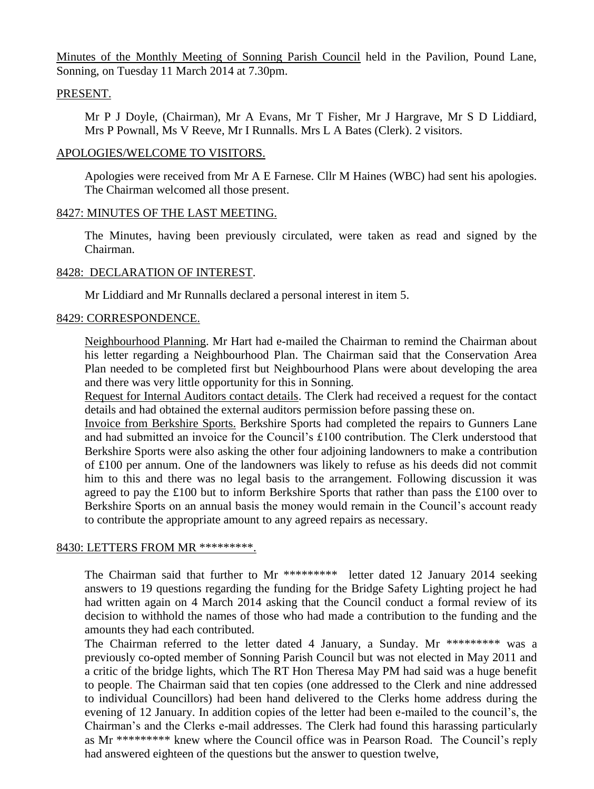Minutes of the Monthly Meeting of Sonning Parish Council held in the Pavilion, Pound Lane, Sonning, on Tuesday 11 March 2014 at 7.30pm.

### PRESENT.

Mr P J Doyle, (Chairman), Mr A Evans, Mr T Fisher, Mr J Hargrave, Mr S D Liddiard, Mrs P Pownall, Ms V Reeve, Mr I Runnalls. Mrs L A Bates (Clerk). 2 visitors.

### APOLOGIES/WELCOME TO VISITORS.

Apologies were received from Mr A E Farnese. Cllr M Haines (WBC) had sent his apologies. The Chairman welcomed all those present.

### 8427: MINUTES OF THE LAST MEETING.

The Minutes, having been previously circulated, were taken as read and signed by the Chairman.

### 8428: DECLARATION OF INTEREST.

Mr Liddiard and Mr Runnalls declared a personal interest in item 5.

### 8429: CORRESPONDENCE.

Neighbourhood Planning. Mr Hart had e-mailed the Chairman to remind the Chairman about his letter regarding a Neighbourhood Plan. The Chairman said that the Conservation Area Plan needed to be completed first but Neighbourhood Plans were about developing the area and there was very little opportunity for this in Sonning.

Request for Internal Auditors contact details. The Clerk had received a request for the contact details and had obtained the external auditors permission before passing these on.

Invoice from Berkshire Sports. Berkshire Sports had completed the repairs to Gunners Lane and had submitted an invoice for the Council's £100 contribution. The Clerk understood that Berkshire Sports were also asking the other four adjoining landowners to make a contribution of £100 per annum. One of the landowners was likely to refuse as his deeds did not commit him to this and there was no legal basis to the arrangement. Following discussion it was agreed to pay the £100 but to inform Berkshire Sports that rather than pass the £100 over to Berkshire Sports on an annual basis the money would remain in the Council's account ready to contribute the appropriate amount to any agreed repairs as necessary.

#### 8430: LETTERS FROM MR \*\*\*\*\*\*\*\*\*\*.

The Chairman said that further to Mr \*\*\*\*\*\*\*\*\* letter dated 12 January 2014 seeking answers to 19 questions regarding the funding for the Bridge Safety Lighting project he had had written again on 4 March 2014 asking that the Council conduct a formal review of its decision to withhold the names of those who had made a contribution to the funding and the amounts they had each contributed.

The Chairman referred to the letter dated 4 January, a Sunday. Mr \*\*\*\*\*\*\*\*\* was a previously co-opted member of Sonning Parish Council but was not elected in May 2011 and a critic of the bridge lights, which The RT Hon Theresa May PM had said was a huge benefit to people. The Chairman said that ten copies (one addressed to the Clerk and nine addressed to individual Councillors) had been hand delivered to the Clerks home address during the evening of 12 January. In addition copies of the letter had been e-mailed to the council's, the Chairman's and the Clerks e-mail addresses. The Clerk had found this harassing particularly as Mr \*\*\*\*\*\*\*\*\* knew where the Council office was in Pearson Road. The Council's reply had answered eighteen of the questions but the answer to question twelve,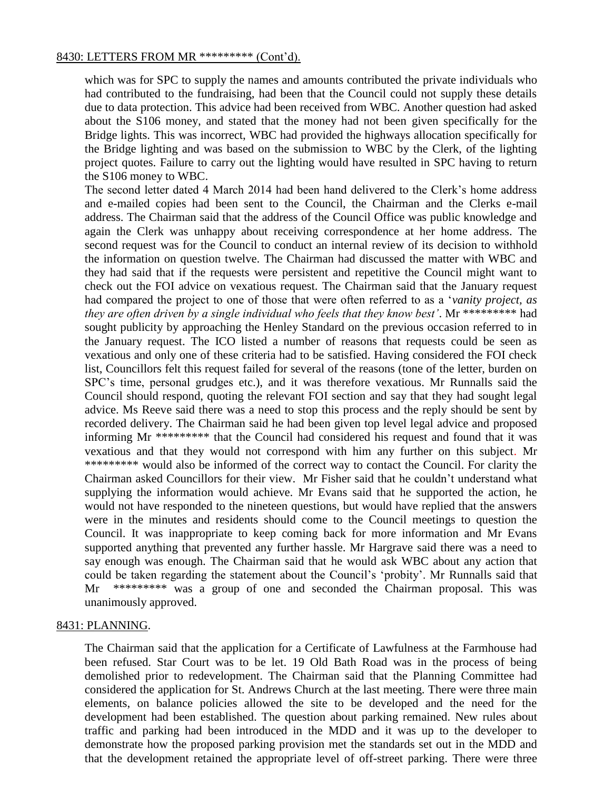### 8430: LETTERS FROM MR \*\*\*\*\*\*\*\*\* (Cont'd).

which was for SPC to supply the names and amounts contributed the private individuals who had contributed to the fundraising, had been that the Council could not supply these details due to data protection. This advice had been received from WBC. Another question had asked about the S106 money, and stated that the money had not been given specifically for the Bridge lights. This was incorrect, WBC had provided the highways allocation specifically for the Bridge lighting and was based on the submission to WBC by the Clerk, of the lighting project quotes. Failure to carry out the lighting would have resulted in SPC having to return the S106 money to WBC.

The second letter dated 4 March 2014 had been hand delivered to the Clerk's home address and e-mailed copies had been sent to the Council, the Chairman and the Clerks e-mail address. The Chairman said that the address of the Council Office was public knowledge and again the Clerk was unhappy about receiving correspondence at her home address. The second request was for the Council to conduct an internal review of its decision to withhold the information on question twelve. The Chairman had discussed the matter with WBC and they had said that if the requests were persistent and repetitive the Council might want to check out the FOI advice on vexatious request. The Chairman said that the January request had compared the project to one of those that were often referred to as a '*vanity project, as they are often driven by a single individual who feels that they know best'*. Mr \*\*\*\*\*\*\*\*\* had sought publicity by approaching the Henley Standard on the previous occasion referred to in the January request. The ICO listed a number of reasons that requests could be seen as vexatious and only one of these criteria had to be satisfied. Having considered the FOI check list, Councillors felt this request failed for several of the reasons (tone of the letter, burden on SPC's time, personal grudges etc.), and it was therefore vexatious. Mr Runnalls said the Council should respond, quoting the relevant FOI section and say that they had sought legal advice. Ms Reeve said there was a need to stop this process and the reply should be sent by recorded delivery. The Chairman said he had been given top level legal advice and proposed informing Mr \*\*\*\*\*\*\*\*\* that the Council had considered his request and found that it was vexatious and that they would not correspond with him any further on this subject. Mr \*\*\*\*\*\*\*\*\* would also be informed of the correct way to contact the Council. For clarity the Chairman asked Councillors for their view. Mr Fisher said that he couldn't understand what supplying the information would achieve. Mr Evans said that he supported the action, he would not have responded to the nineteen questions, but would have replied that the answers were in the minutes and residents should come to the Council meetings to question the Council. It was inappropriate to keep coming back for more information and Mr Evans supported anything that prevented any further hassle. Mr Hargrave said there was a need to say enough was enough. The Chairman said that he would ask WBC about any action that could be taken regarding the statement about the Council's 'probity'. Mr Runnalls said that Mr \*\*\*\*\*\*\*\*\* was a group of one and seconded the Chairman proposal. This was unanimously approved.

#### 8431: PLANNING.

The Chairman said that the application for a Certificate of Lawfulness at the Farmhouse had been refused. Star Court was to be let. 19 Old Bath Road was in the process of being demolished prior to redevelopment. The Chairman said that the Planning Committee had considered the application for St. Andrews Church at the last meeting. There were three main elements, on balance policies allowed the site to be developed and the need for the development had been established. The question about parking remained. New rules about traffic and parking had been introduced in the MDD and it was up to the developer to demonstrate how the proposed parking provision met the standards set out in the MDD and that the development retained the appropriate level of off-street parking. There were three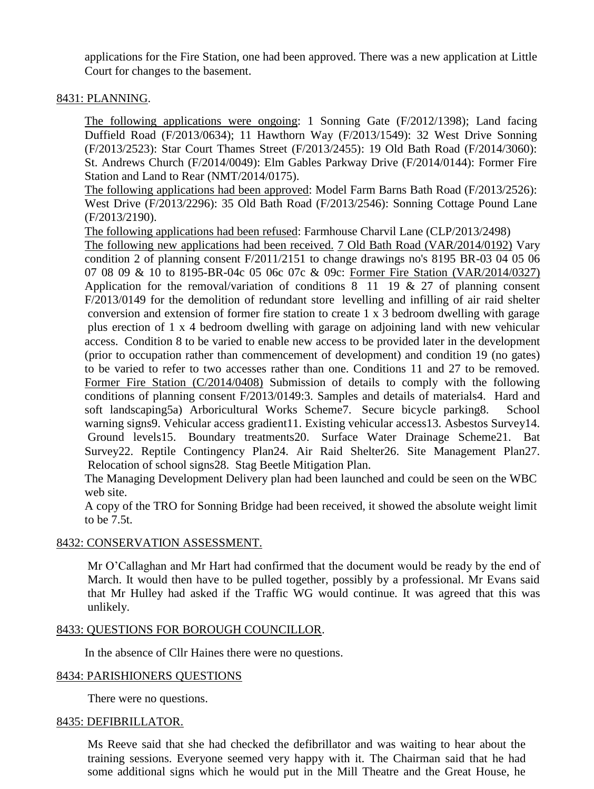applications for the Fire Station, one had been approved. There was a new application at Little Court for changes to the basement.

# 8431: PLANNING.

The following applications were ongoing: 1 Sonning Gate (F/2012/1398); Land facing Duffield Road (F/2013/0634); 11 Hawthorn Way (F/2013/1549): 32 West Drive Sonning (F/2013/2523): Star Court Thames Street (F/2013/2455): 19 Old Bath Road (F/2014/3060): St. Andrews Church (F/2014/0049): Elm Gables Parkway Drive (F/2014/0144): Former Fire Station and Land to Rear (NMT/2014/0175).

The following applications had been approved: Model Farm Barns Bath Road (F/2013/2526): West Drive (F/2013/2296): 35 Old Bath Road (F/2013/2546): Sonning Cottage Pound Lane (F/2013/2190).

The following applications had been refused: Farmhouse Charvil Lane (CLP/2013/2498)

The following new applications had been received. 7 Old Bath Road (VAR/2014/0192) Vary condition 2 of planning consent F/2011/2151 to change drawings no's 8195 BR-03 04 05 06 07 08 09 & 10 to 8195-BR-04c 05 06c 07c & 09c: Former Fire Station (VAR/2014/0327) Application for the removal/variation of conditions 8 11 19 & 27 of planning consent F/2013/0149 for the demolition of redundant store levelling and infilling of air raid shelter conversion and extension of former fire station to create 1 x 3 bedroom dwelling with garage plus erection of 1 x 4 bedroom dwelling with garage on adjoining land with new vehicular access. Condition 8 to be varied to enable new access to be provided later in the development (prior to occupation rather than commencement of development) and condition 19 (no gates) to be varied to refer to two accesses rather than one. Conditions 11 and 27 to be removed. Former Fire Station (C/2014/0408) Submission of details to comply with the following conditions of planning consent F/2013/0149:3. Samples and details of materials4. Hard and soft landscaping5a) Arboricultural Works Scheme7. Secure bicycle parking8. School warning signs9. Vehicular access gradient11. Existing vehicular access13. Asbestos Survey14. Ground levels15. Boundary treatments20. Surface Water Drainage Scheme21. Bat Survey22. Reptile Contingency Plan24. Air Raid Shelter26. Site Management Plan27. Relocation of school signs28. Stag Beetle Mitigation Plan.

The Managing Development Delivery plan had been launched and could be seen on the WBC web site.

A copy of the TRO for Sonning Bridge had been received, it showed the absolute weight limit to be 7.5t.

## 8432: CONSERVATION ASSESSMENT.

Mr O'Callaghan and Mr Hart had confirmed that the document would be ready by the end of March. It would then have to be pulled together, possibly by a professional. Mr Evans said that Mr Hulley had asked if the Traffic WG would continue. It was agreed that this was unlikely.

## 8433: QUESTIONS FOR BOROUGH COUNCILLOR.

In the absence of Cllr Haines there were no questions.

#### 8434: PARISHIONERS QUESTIONS

There were no questions.

#### 8435: DEFIBRILLATOR.

Ms Reeve said that she had checked the defibrillator and was waiting to hear about the training sessions. Everyone seemed very happy with it. The Chairman said that he had some additional signs which he would put in the Mill Theatre and the Great House, he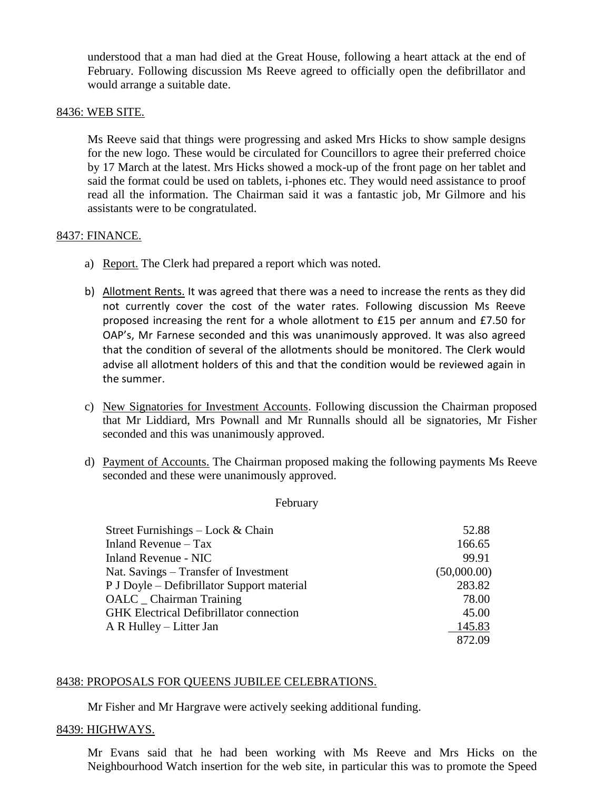understood that a man had died at the Great House, following a heart attack at the end of February. Following discussion Ms Reeve agreed to officially open the defibrillator and would arrange a suitable date.

### 8436: WEB SITE.

Ms Reeve said that things were progressing and asked Mrs Hicks to show sample designs for the new logo. These would be circulated for Councillors to agree their preferred choice by 17 March at the latest. Mrs Hicks showed a mock-up of the front page on her tablet and said the format could be used on tablets, i-phones etc. They would need assistance to proof read all the information. The Chairman said it was a fantastic job, Mr Gilmore and his assistants were to be congratulated.

### 8437: FINANCE.

- a) Report. The Clerk had prepared a report which was noted.
- b) Allotment Rents. It was agreed that there was a need to increase the rents as they did not currently cover the cost of the water rates. Following discussion Ms Reeve proposed increasing the rent for a whole allotment to £15 per annum and £7.50 for OAP's, Mr Farnese seconded and this was unanimously approved. It was also agreed that the condition of several of the allotments should be monitored. The Clerk would advise all allotment holders of this and that the condition would be reviewed again in the summer.
- c) New Signatories for Investment Accounts. Following discussion the Chairman proposed that Mr Liddiard, Mrs Pownall and Mr Runnalls should all be signatories, Mr Fisher seconded and this was unanimously approved.
- d) Payment of Accounts. The Chairman proposed making the following payments Ms Reeve seconded and these were unanimously approved.

#### February

| Street Furnishings $-$ Lock & Chain            | 52.88       |
|------------------------------------------------|-------------|
| Inland Revenue – Tax                           | 166.65      |
| Inland Revenue - NIC                           | 99.91       |
| Nat. Savings – Transfer of Investment          | (50,000.00) |
| P J Doyle – Defibrillator Support material     | 283.82      |
| OALC _ Chairman Training                       | 78.00       |
| <b>GHK</b> Electrical Defibrillator connection | 45.00       |
| A R Hulley – Litter Jan                        | 145.83      |
|                                                | 872.09      |

## 8438: PROPOSALS FOR QUEENS JUBILEE CELEBRATIONS.

Mr Fisher and Mr Hargrave were actively seeking additional funding.

#### 8439: HIGHWAYS.

Mr Evans said that he had been working with Ms Reeve and Mrs Hicks on the Neighbourhood Watch insertion for the web site, in particular this was to promote the Speed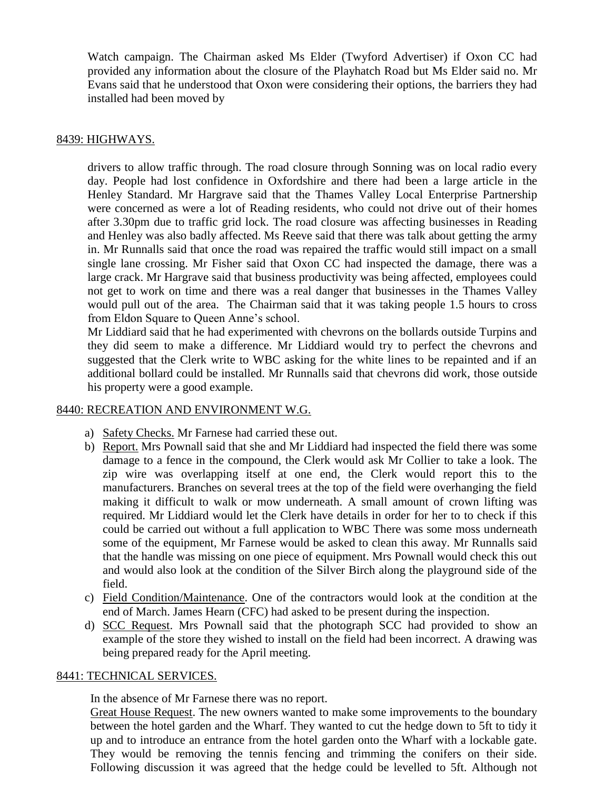Watch campaign. The Chairman asked Ms Elder (Twyford Advertiser) if Oxon CC had provided any information about the closure of the Playhatch Road but Ms Elder said no. Mr Evans said that he understood that Oxon were considering their options, the barriers they had installed had been moved by

## 8439: HIGHWAYS.

drivers to allow traffic through. The road closure through Sonning was on local radio every day. People had lost confidence in Oxfordshire and there had been a large article in the Henley Standard. Mr Hargrave said that the Thames Valley Local Enterprise Partnership were concerned as were a lot of Reading residents, who could not drive out of their homes after 3.30pm due to traffic grid lock. The road closure was affecting businesses in Reading and Henley was also badly affected. Ms Reeve said that there was talk about getting the army in. Mr Runnalls said that once the road was repaired the traffic would still impact on a small single lane crossing. Mr Fisher said that Oxon CC had inspected the damage, there was a large crack. Mr Hargrave said that business productivity was being affected, employees could not get to work on time and there was a real danger that businesses in the Thames Valley would pull out of the area. The Chairman said that it was taking people 1.5 hours to cross from Eldon Square to Queen Anne's school.

Mr Liddiard said that he had experimented with chevrons on the bollards outside Turpins and they did seem to make a difference. Mr Liddiard would try to perfect the chevrons and suggested that the Clerk write to WBC asking for the white lines to be repainted and if an additional bollard could be installed. Mr Runnalls said that chevrons did work, those outside his property were a good example.

## 8440: RECREATION AND ENVIRONMENT W.G.

- a) Safety Checks. Mr Farnese had carried these out.
- b) Report. Mrs Pownall said that she and Mr Liddiard had inspected the field there was some damage to a fence in the compound, the Clerk would ask Mr Collier to take a look. The zip wire was overlapping itself at one end, the Clerk would report this to the manufacturers. Branches on several trees at the top of the field were overhanging the field making it difficult to walk or mow underneath. A small amount of crown lifting was required. Mr Liddiard would let the Clerk have details in order for her to to check if this could be carried out without a full application to WBC There was some moss underneath some of the equipment, Mr Farnese would be asked to clean this away. Mr Runnalls said that the handle was missing on one piece of equipment. Mrs Pownall would check this out and would also look at the condition of the Silver Birch along the playground side of the field.
- c) Field Condition/Maintenance. One of the contractors would look at the condition at the end of March. James Hearn (CFC) had asked to be present during the inspection.
- d) SCC Request. Mrs Pownall said that the photograph SCC had provided to show an example of the store they wished to install on the field had been incorrect. A drawing was being prepared ready for the April meeting.

## 8441: TECHNICAL SERVICES.

In the absence of Mr Farnese there was no report.

Great House Request. The new owners wanted to make some improvements to the boundary between the hotel garden and the Wharf. They wanted to cut the hedge down to 5ft to tidy it up and to introduce an entrance from the hotel garden onto the Wharf with a lockable gate. They would be removing the tennis fencing and trimming the conifers on their side. Following discussion it was agreed that the hedge could be levelled to 5ft. Although not